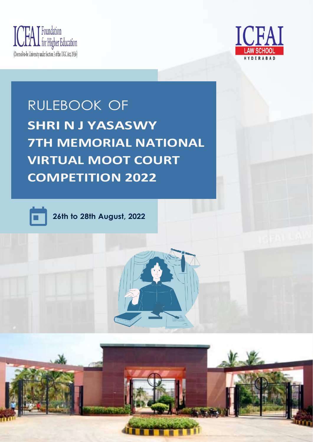





**26th to 28th August, 2022**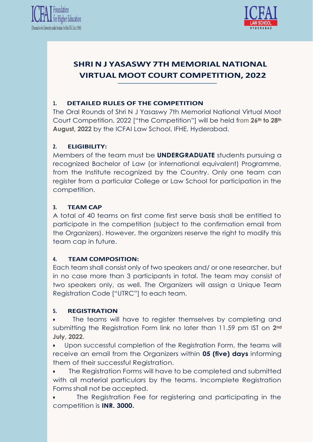



#### **1. DETAILED RULES OF THE COMPETITION**

The Oral Rounds of Shri N J Yasaswy 7th Memorial National Virtual Moot Court Competition, 2022 ["the Competition"] will be held from **26th to 28th August, 2022** by the ICFAI Law School, IFHE, Hyderabad.

#### **2. ELIGIBILITY:**

Members of the team must be **UNDERGRADUATE** students pursuing a recognized Bachelor of Law (or international equivalent) Programme, from the Institute recognized by the Country. Only one team can register from a particular College or Law School for participation in the competition.

#### **3. TEAM CAP**

A total of 40 teams on first come first serve basis shall be entitled to participate in the competition (subject to the confirmation email from the Organizers). However, the organizers reserve the right to modify this team cap in future.

#### **4. TEAM COMPOSITION:**

Each team shall consist only of two speakers and/ or one researcher, but in no case more than 3 participants in total. The team may consist of two speakers only, as well. The Organizers will assign a Unique Team Registration Code ["UTRC"] to each team.

#### **5. REGISTRATION**

The teams will have to register themselves by completing and submitting the Registration Form link no later than 11.59 pm IST on **2nd July, 2022.**

• Upon successful completion of the Registration Form, the teams will receive an email from the Organizers within **05 (five) days** informing them of their successful Registration.

• The Registration Forms will have to be completed and submitted with all material particulars by the teams. Incomplete Registration Forms shall not be accepted.

The Registration Fee for registering and participating in the competition is **INR. 3000.**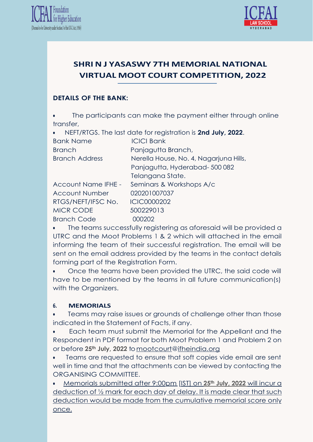



## **DETAILS OF THE BANK:**

The participants can make the payment either through online transfer,

| NEFT/RTGS. The last date for registration is 2nd July, 2022.<br>$\bullet$ |                                        |
|---------------------------------------------------------------------------|----------------------------------------|
| <b>Bank Name</b>                                                          | <b>ICICI Bank</b>                      |
| <b>Branch</b>                                                             | Panjagutta Branch,                     |
| <b>Branch Address</b>                                                     | Nerella House, No. 4, Nagarjuna Hills, |
|                                                                           | Panjagutta, Hyderabad-500082           |
|                                                                           | Telangana State.                       |
| <b>Account Name IFHE -</b>                                                | Seminars & Workshops A/c               |
| <b>Account Number</b>                                                     | 020201007037                           |
| RTGS/NEFT/IFSC No.                                                        | <b>ICIC0000202</b>                     |
| <b>MICR CODE</b>                                                          | 500229013                              |
| <b>Branch Code</b>                                                        | 00202                                  |

• The teams successfully registering as aforesaid will be provided a UTRC and the Moot Problems 1 & 2 which will attached in the email informing the team of their successful registration. The email will be sent on the email address provided by the teams in the contact details forming part of the Registration Form.

• Once the teams have been provided the UTRC, the said code will have to be mentioned by the teams in all future communication(s) with the Organizers.

#### **6. MEMORIALS**

• Teams may raise issues or grounds of challenge other than those indicated in the Statement of Facts, if any.

• Each team must submit the Memorial for the Appellant and the Respondent in PDF format for both Moot Problem 1 and Problem 2 on or before **25th July, 2022** t[omootcourt@ifheindia.org](mailto:mootcourt@ifheindia.org)

• Teams are requested to ensure that soft copies vide email are sent well in time and that the attachments can be viewed by contacting the ORGANISING COMMITTEE.

• Memorials submitted after 9:00pm [IST] on **25th July, 2022** will incur a deduction of 1/2 mark for each day of delay. It is made clear that such deduction would be made from the cumulative memorial score only once.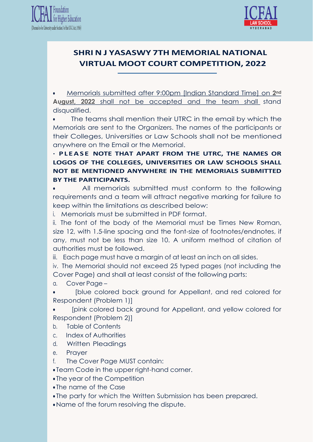



• Memorials submitted after 9:00pm [Indian Standard Time] on **2nd August, 2022** shall not be accepted and the team shall stand disqualified.

The teams shall mention their UTRC in the email by which the Memorials are sent to the Organizers. The names of the participants or their Colleges, Universities or Law Schools shall not be mentioned anywhere on the Email or the Memorial.

**· P L E A S E NOTE THAT APART FROM THE UTRC, THE NAMES OR LOGOS OF THE COLLEGES, UNIVERSITIES OR LAW SCHOOLS SHALL NOT BE MENTIONED ANYWHERE IN THE MEMORIALS SUBMITTED BY THE PARTICIPANTS.**

All memorials submitted must conform to the following requirements and a team will attract negative marking for failure to keep within the limitations as described below:

i. Memorials must be submitted in PDF format.

ii. The font of the body of the Memorial must be Times New Roman, size 12, with 1.5-line spacing and the font-size of footnotes/endnotes, if any, must not be less than size 10. A uniform method of citation of authorities must be followed.

iii. Each page must have a margin of at least an inch on all sides.

iv. The Memorial should not exceed 25 typed pages (not including the Cover Page) and shall at least consist of the following parts:

a. Cover Page –

• [blue colored back ground for Appellant, and red colored for Respondent (Problem 1)]

• [pink colored back ground for Appellant, and yellow colored for Respondent (Problem 2)]

- b. Table of Contents
- c. Index of Authorities
- d. Written Pleadings
- e. Prayer
- f. The Cover Page MUST contain:
- Team Code in the upper right-hand corner.
- The year of the Competition
- The name of the Case
- The party for which the Written Submission has been prepared.
- Name of the forum resolving the dispute.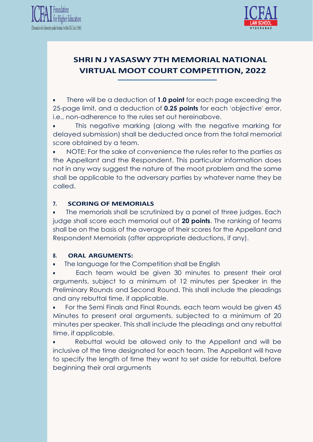



• There will be a deduction of **1.0 point** for each page exceeding the 25-page limit, and a deduction of **0.25 points** for each 'objective' error, i.e., non-adherence to the rules set out hereinabove.

This negative marking (along with the negative marking for delayed submission) shall be deducted once from the total memorial score obtained by a team.

• NOTE: For the sake of convenience the rules refer to the parties as the Appellant and the Respondent. This particular information does not in any way suggest the nature of the moot problem and the same shall be applicable to the adversary parties by whatever name they be called.

### **7. SCORING OF MEMORIALS**

The memorials shall be scrutinized by a panel of three judges. Each judge shall score each memorial out of **20 points**. The ranking of teams shall be on the basis of the average of their scores for the Appellant and Respondent Memorials (after appropriate deductions, if any).

#### **8. ORAL ARGUMENTS:**

The language for the Competition shall be English

Each team would be given 30 minutes to present their oral arguments, subject to a minimum of 12 minutes per Speaker in the Preliminary Rounds and Second Round. This shall include the pleadings and any rebuttal time, if applicable.

• For the Semi Finals and Final Rounds, each team would be given 45 Minutes to present oral arguments, subjected to a minimum of 20 minutes per speaker. This shall include the pleadings and any rebuttal time, if applicable.

Rebuttal would be allowed only to the Appellant and will be inclusive of the time designated for each team. The Appellant will have to specify the length of time they want to set aside for rebuttal, before beginning their oral arguments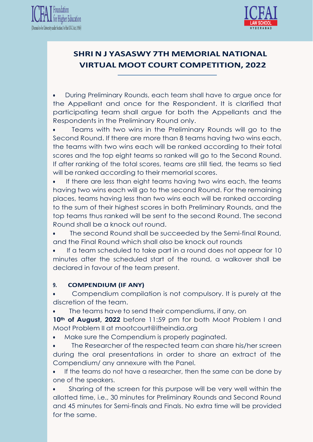



• During Preliminary Rounds, each team shall have to argue once for the Appellant and once for the Respondent. It is clarified that participating team shall argue for both the Appellants and the Respondents in the Preliminary Round only.

• Teams with two wins in the Preliminary Rounds will go to the Second Round. If there are more than 8 teams having two wins each, the teams with two wins each will be ranked according to their total scores and the top eight teams so ranked will go to the Second Round. If after ranking of the total scores, teams are still tied, the teams so tied will be ranked according to their memorial scores.

If there are less than eight teams having two wins each, the teams having two wins each will go to the second Round. For the remaining places, teams having less than two wins each will be ranked according to the sum of their highest scores in both Preliminary Rounds, and the top teams thus ranked will be sent to the second Round. The second Round shall be a knock out round.

The second Round shall be succeeded by the Semi-final Round, and the Final Round which shall also be knock out rounds

If a team scheduled to take part in a round does not appear for 10 minutes after the scheduled start of the round, a walkover shall be declared in favour of the team present.

#### **9. COMPENDIUM (IF ANY)**

• Compendium compilation is not compulsory. It is purely at the discretion of the team.

• The teams have to send their compendiums, if any, on

**10th of August, 2022** before 11:59 pm for both Moot Problem I and Moot Problem II at [mootcourt@ifheindia.org](mailto:mootcourt@ifheindia.org)

Make sure the Compendium is properly paginated.

• The Researcher of the respected team can share his/her screen during the oral presentations in order to share an extract of the Compendium/ any annexure with the Panel.

• If the teams do not have a researcher, then the same can be done by one of the speakers.

Sharing of the screen for this purpose will be very well within the allotted time, i.e., 30 minutes for Preliminary Rounds and Second Round and 45 minutes for Semi-finals and Finals. No extra time will be provided for the same.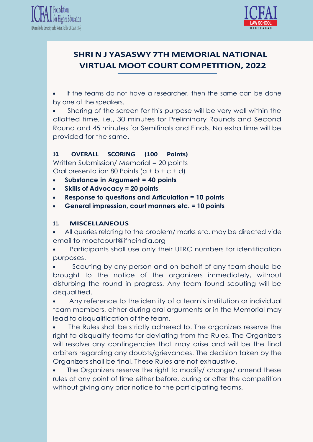



If the teams do not have a researcher, then the same can be done by one of the speakers.

Sharing of the screen for this purpose will be very well within the allotted time, i.e., 30 minutes for Preliminary Rounds and Second Round and 45 minutes for Semifinals and Finals. No extra time will be provided for the same.

### **10. OVERALL SCORING (100 Points)**

Written Submission/ Memorial = 20 points

Oral presentation 80 Points  $(a + b + c + d)$ 

- **Substance in Argument = 40 points**
- **Skills of Advocacy = 20 points**
- **Response to questions and Articulation = 10 points**
- **General impression, court manners etc. = 10 points**

#### **11. MISCELLANEOUS**

All queries relating to the problem/ marks etc. may be directed vide email to [mootcourt@ifheindia.org](mailto:mootcourt@ifheindia.org)

• Participants shall use only their UTRC numbers for identification purposes.

Scouting by any person and on behalf of any team should be brought to the notice of the organizers immediately, without disturbing the round in progress. Any team found scouting will be disqualified.

• Any reference to the identity of a team's institution or individual team members, either during oral arguments or in the Memorial may lead to disqualification of the team.

The Rules shall be strictly adhered to. The organizers reserve the right to disqualify teams for deviating from the Rules. The Organizers will resolve any contingencies that may arise and will be the final arbiters regarding any doubts/grievances. The decision taken by the Organizers shall be final. These Rules are not exhaustive.

• The Organizers reserve the right to modify/ change/ amend these rules at any point of time either before, during or after the competition without giving any prior notice to the participating teams.